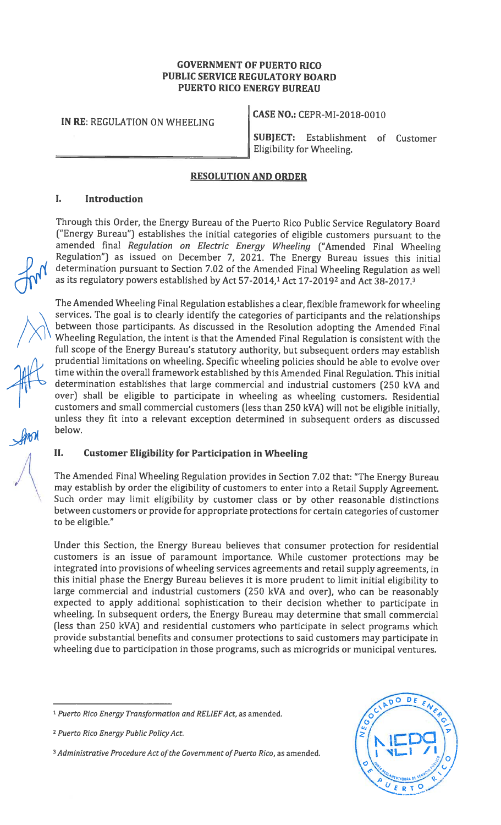#### GOVERNMENT OF PUERTO RICO PUBLIC SERVICE REGULATORY BOARD PUERTO RICO ENERGY BUREAU

IN RE: REGULATION ON WHEELING

CASE NO.: CEPR-MI-2018-0O10

SUBJECT: Establishment of Customer Eligibility for Wheeling.

# RESOLUTION AND ORDER

# I. Introduction

Through this Order, the Energy Bureau of the Puerto Rico Public Service Regulatory Board ("Energy Bureau") establishes the initial categories of eligible customers pursuant to the amended final Regulation on Electric Energy Wheeling ("Amended Final Wheeling Regulation") as issued on December 7, 2021. The Energy Bureau issues this initial determination pursuant to Section 7.02 of the Amended Final Wheeling Regulation as well as its regulatory powers established by Act 57-2014,<sup>1</sup> Act 17-2019<sup>2</sup> and Act 38-2017.<sup>3</sup>

The Amended Wheeling Final Regulation establishes <sup>a</sup> clear, flexible framework for wheeling services. The goal is to clearly identify the categories of participants and the relationships between those participants. As discussed in the Resolution adopting the Amended Final Wheeling Regulation, the intent is that the Amended Final Regulation is consistent with the full scope of the Energy Bureau's statutory authority, but subsequent orders may establish prudential limitations on wheeling. Specific wheeling policies should be able to evolve over time within the overall framework established by this Amended Final Regulation. This initial determination establishes that large commercial and industrial customers (250 kVA and over) shall be eligible to participate in wheeling as wheeling customers. Residential customers and small commercial customers (less than 250 kVA) will not be eligible initially, unless they fit into a relevant exception determined in subsequent orders as discussed below.

#### II. Customer Eligibility for Participation in Wheeling

The Amended Final Wheeling Regulation provides in Section 7.02 that: "The Energy Bureau may establish by order the eligibility of customers to enter into a Retail Supply Agreement. Such order may limit eligibility by customer class or by other reasonable distinctions between customers or provide for appropriate protections for certain categories of customer to be eligible."

Under this Section, the Energy Bureau believes that consumer protection for residential customers is an issue of paramount importance. While customer protections may be integrated into provisions of wheeling services agreements and retail supply agreements, in this initial phase the Energy Bureau believes it is more prudent to limit initial eligibility to large commercial and industrial customers (250 kVA and over), who can be reasonably expected to apply additional sophistication to their decision whether to participate in wheeling. In subsequent orders, the Energy Bureau may determine that small commercial (less than 250 kVA) and residential customers who participate in select programs which provide substantial benefits and consumer protections to said customers may participate in wheeling due to participation in those programs, such as microgrids or municipal ventures.

<sup>&</sup>lt;sup>3</sup> Administrative Procedure Act of the Government of Puerto Rico, as amended.



<sup>&</sup>lt;sup>1</sup> Puerto Rico Energy Transformation and RELIEF Act, as amended.

<sup>2</sup> Puerto Rico Energy Public Policy Act.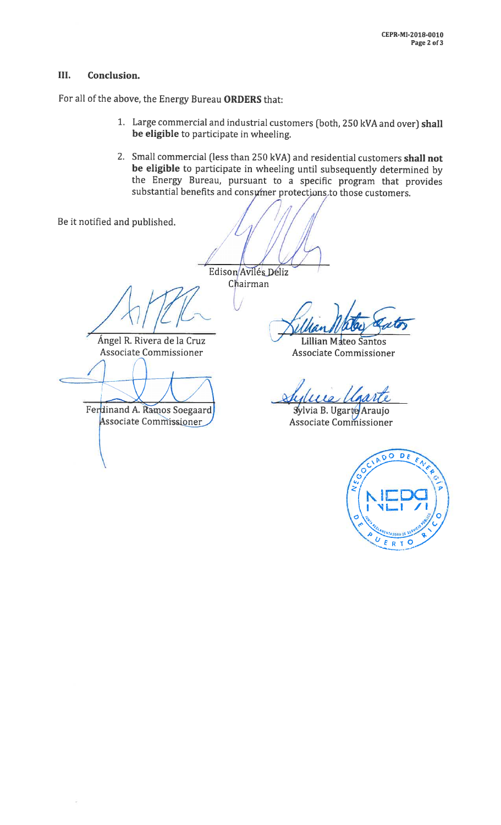# III. Conclusion.

For all of the above, the Energy Bureau ORDERS that:

- 1. Large commercial and industrial customers (both, <sup>250</sup> kVA and over) shall be eligible to participate in wheeling.
- 2. Small commercial (less than 250 kVA) and residential customers shall not be eligible to participate in wheeling until subsequently determined by the Energy Bureau, pursuant to <sup>a</sup> specific program that provides substantial benefits and consumer protections to those customers.

Be it notified and published.

Edison Avilés Déliz Chairman

 $\sqrt{\sqrt{2}}$ 

Angel R. Rivera de Ia Cruz Associate Commissioner

Ferdinand A. Ramos Soegaard

Associate Commissioner

Lillian Mateo Santos Associate Commissioner

Sylvia B. Ugarte Araujo Associate Commissioner

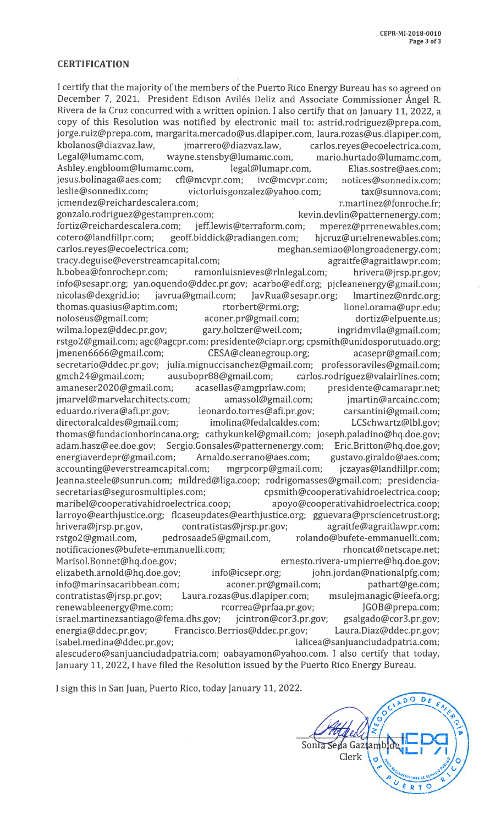#### **CERTIFICATION**

<sup>I</sup> certify that the majority of the members of the Puerto Rico Energy Bureau has so agreed on December 7, 2021. President Edison Avilés Deliz and Associate Commissioner Angel R. Rivera de la Cruz concurred with a written opinion. <sup>I</sup> also certify that on January 11, 2022, a copy of this Resolution was notified by electronic mail to: astrid.rodriguez@prepa.com, jorge.ruiz@prepa.com, margarita.mercado@us.dlapiper.com, laura.rozas@us.dlapiper.com, kbolanos@diazvaz.law, jmarrero@diazvaz.law, carlos.reyes@ecoelectrica.com,<br>Legal@lumamc.com, wavne.stensby@lumamc.com, mario.hurtado@lumamc.com, wayne.stensby@lumamc.com, mario.hurtado@lumamc.com,<br>ic.com, legal@lumapr.com, Elias.sostre@aes.com; Ashley.engbloom@lumamc.com, legal@lumapr.com, Elias.sostre@aes.com;<br>iesus.bolinaga@aes.com: cfl@mcvpr.com: ivc@mcvpr.com: notices@sonnedix.com: jesus.bolinaga@aes.com; cfl@mcvpr.com; ivc@mcvpr.com; notices@sonnedix.com; victorluisgonzalez@yahoo.com; tax@sunnova.com; jcmendez@reichardescalera.com; entitled and the martinez@fonroche.fr; gonzalo.rodriguez@gestampren.com; kevin.devlin@patternenergy.com; fortiz@reichardescalera.com; jeff.lewis@terraform.com; mperez@prrenewables.com; cotero@landfillpr.com; geoff.biddick@radiangen.com; hjcruz@urielrenewables.com; meghan.semiao@longroadenergy.com; tracy.deguise@everstreamcapital.com; example agraitfe@agraitlawpr.com; h.bobea@fonrochepr.com; ramonluisnieves@rlnlegal.com; hrivera@jrsp.pr.gov; info@sesapr.org; yan.oquendo@ddec.pr.gov; acarbo@edf.org; pjcleanenergy@gmail.com; nicolas@dexgrid.io; javrua@gmail.com; JavRua@sesapr.org; lmartinez@nrdc.org;<br>thomas.quasius@aptim.com; rtorbert@rmi.org; lionel.orama@upr.edu; thomas.quasius@aptim.com; rtorbert@rmi.org; lionel.orama@upr.edu; noloseus@gmail.com; aconer.pr@gmail.com; dortiz@elpuente.us; wilma.lopez@ddec.pr.gov; gary.holtzer@weil.com; ingridmvila@gmail.com; rstgo2@gmail.com; agc@agcpr.com; presidente@ciapr.org; cpsmith@unidosporutuado.org; jmenen6666@gmail.com; CESA@cleanegroup.org; acasepr@gmail.com; secretario@ddec.pr.gov; julia.mignuccisanchez@gmail.com; professoraviles@gmail.com; gmch24@gmai1.com; ausubopr88@gmail.com; carlos.rodriguez@valairlines.com; amaneser2020@gmail.com; acasellas@amgprlaw.com; presidente@camarapr.net; jmarvel@marvelarchitects.com; amassol@gmail.com; jmartin@arcainc.com; eduardo.rivera@afi.pr.gov; leonardo.torres@afi.pr.gov; carsantini@gmail.com; directoralcaldes@gmail.com; imolina@fedalcaldes.com; LCSchwartz@lbl.gov; thomas@fundacionborincana.org; cathykunkel@gmail.com; joseph.paladino@hq.doe.gov; adam.hasz@ee.doe.gov; Sergio.Gonsales@patternenergy.com; Eric.Britton@hq.doe.gov; energiaverdepr@gmail.com; Arnaldo.serrano@aes.com; gustavo.giraldo@aes.com; accounting@everstreamcapital.com; mgrpcorp@gmail.com; jczayas@landfillpr.com; Jeanna.steele@sunrun.com; mildred@liga.coop; rodrigomasses@gmail.com; presidencia secretarias@segurosmultiples.com; cpsmith@cooperativahidroelectrica.coop; maribel@cooperativahidroelectrica.coop; apoyo@cooperativahidroelectrica.coop; larroyo@earthjustice.org; flcaseupdates@earthjustice.org; gguevara@prsciencetrust.org; hrivera@jrsp.pr.gov, contratistas@jrsp.pr.gov; agraitfe@agraitlawpr.com; rstgo2 @gmail.com, pedrosaadeS@gmail.com, rolando@bufete-emmanuelli.com; notificaciones@bufete-emmanuelli.com; entitled to the morat and the morat formula in the morat formula in the m Marisol.Bonnet@hq.doe.gov; ernesto.rivera-umpierre@hq.doe.gov; elizabeth.arnold@hq.doe.gov; info@icsepr.org; john.jordan@nationalpfg.com; info@marinsacaribbean.com; aconer.pr@gmail.com; pathart@ge.com; contratistas@jrsp.pr.gov; Laura.rozas@us.dlapiper.com; msulejmanagic@ieefa.org; renewableenergy@me.com; rcorrea@prfaa.pr.gov; JGOB@prepa.com; israel.rnartinezsantiago@ferna.dhs.gov; jcintron@cor3.pr.gov; gsalgado@cor3.pr.gov; energia@ddec.pr.gov; Francisco.Berrios@ddec.pr.gov; Laura.Diaz@ddec.pr.gov; isabel.medina@ddec.pr.gov; included in the same static and indicea@sanjuanciudadpatria.com; alescudero@sanjuanciudadpatria.com; oabayamon@yahoo.com. I also certify that today, January 11, 2022, <sup>I</sup> have filed the Resolution issued by the Puerto Rico Energy Bureau.

<sup>I</sup> sign this in San Juan, Puerto Rico, today January 11, 2022.

 $\overline{O}$  $D_E$ Sonia Seda Gaztar Clerk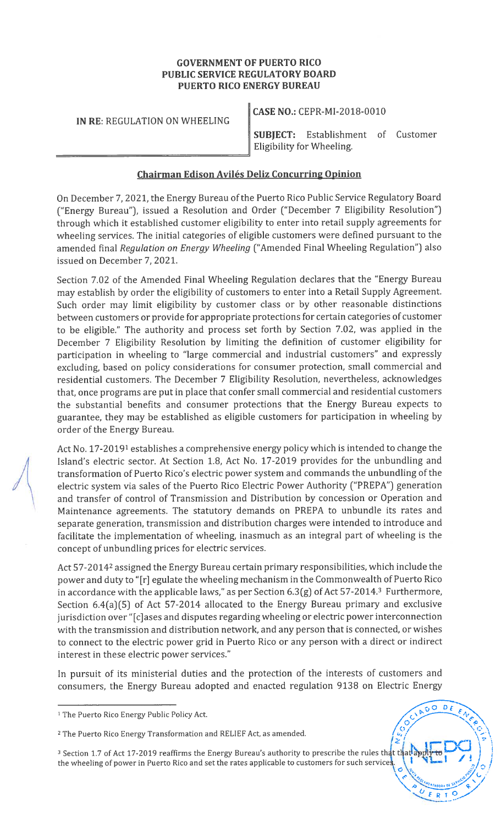# GOVERNMENT OF PUERTO RICO PUBLIC SERVICE REGULATORY BOARD PUERTO RICO ENERGY BUREAU

IN RE: REGULATION ON WHEELING

CASE NO.: CEPR-MI-2018-001O

SUBJECT: Establishment of Customer Eligibility for Wheeling.

# Chairman Edison Avilés Deliz Concurring Opinion

On December 7, 2021, the Energy Bureau of the Puerto Rico Public Service Regulatory Board ("Energy Bureau"), issued a Resolution and Order ("December 7 Eligibility Resolution") through which it established customer eligibility to enter into retail supply agreements for wheeling services. The initial categories of eligible customers were defined pursuant to the amended final Regulation on Energy Wheeling ("Amended Final Wheeling Regulation") also issued on December 7, 2021.

Section 7.02 of the Amended Final Wheeling Regulation declares that the "Energy Bureau may establish by order the eligibility of customers to enter into a Retail Supply Agreement. Such order may limit eligibility by customer class or by other reasonable distinctions between customers or provide for appropriate protections for certain categories of customer to be eligible." The authority and process set forth by Section 7.02, was applied in the December 7 Eligibility Resolution by limiting the definition of customer eligibility for participation in wheeling to "large commercial and industrial customers" and expressly excluding, based on policy considerations for consumer protection, small commercial and residential customers. The December <sup>7</sup> Eligibility Resolution, nevertheless, acknowledges that, once programs are put in place that confer small commercial and residential customers the substantial benefits and consumer protections that the Energy Bureau expects to guarantee, they may be established as eligible customers for participation in wheeling by order of the Energy Bureau.

Act No. 17-20191 establishes a comprehensive energy policy which is intended to change the Island's electric sector. At Section 1.8, Act No. 17-2019 provides for the unbundling and transformation of Puerto Rico's electric power system and commands the unbundling of the electric system via sales of the Puerto Rico Electric Power Authority ("PREPA") generation and transfer of control of Transmission and Distribution by concession or Operation and Maintenance agreements. The statutory demands on PREPA to unbundle its rates and separate generation, transmission and distribution charges were intended to introduce and facilitate the implementation of wheeling, inasmuch as an integral part of wheeling is the concept of unbundling prices for electric services.

Act 57-2014<sup>2</sup> assigned the Energy Bureau certain primary responsibilities, which include the power and duty to "[r] egulate the wheeling mechanism in the Commonwealth of Puerto Rico in accordance with the applicable laws," as per Section  $6.3(g)$  of Act 57-2014.<sup>3</sup> Furthermore, Section 6.4(a)(5) of Act 57-2014 allocated to the Energy Bureau primary and exclusive jurisdiction over "[c]ases and disputes regarding wheeling or electric power interconnection with the transmission and distribution network, and any person that is connected, or wishes to connect to the electric power grid in Puerto Rico or any person with a direct or indirect interest in these electric power services."

In pursuit of its ministerial duties and the protection of the interests of customers and consumers, the Energy Bureau adopted and enacted regulation 9138 on Electric Energy

> $D f$  $\Omega$



<sup>&</sup>lt;sup>1</sup> The Puerto Rico Energy Public Policy Act.

<sup>2</sup> The Puerto Rico Energy Transformation and RELIEF Act, as amended.

<sup>&</sup>lt;sup>3</sup> Section 1.7 of Act 17-2019 reaffirms the Energy Bureau's authority to prescribe the rules that th the wheeling of power in Puerto Rico and set the rates applicable to customers for such services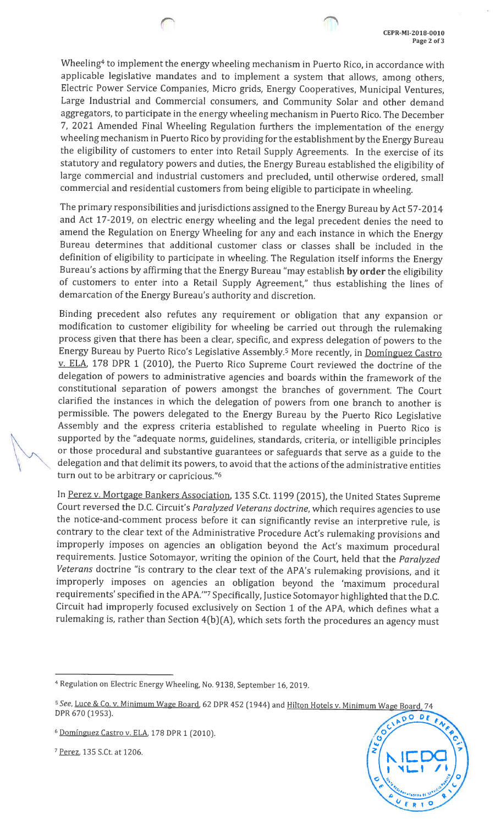Wheeling<sup>4</sup> to implement the energy wheeling mechanism in Puerto Rico, in accordance with applicable legislative mandates and to implement <sup>a</sup> system that allows, among others, Electric Power Service Companies, Micro grids, Energy Cooperatives, Municipal Ventures, Large Industrial and Commercial consumers, and Community Solar and other demand aggregators, to participate in the energy wheeling mechanism in Puerto Rico. The December 7, <sup>2021</sup> Amended Final Wheeling Regulation furthers the implementation of the energy wheeling mechanism in Puerto Rico by providing for the establishment by the Energy Bureau the eligibility of customers to enter into Retail Supply Agreements. In the exercise of its statutory and regulatory powers and duties, the Energy Bureau established the eligibility of large commercial and industrial customers and precluded, until otherwise ordered, small commercial and residential customers from being eligible to participate in wheeling.

The primary responsibilities and jurisdictions assigned to the Energy Bureau by Act 57-2014 and Act 17-2019, on electric energy wheeling and the legal precedent denies the need to amend the Regulation on Energy Wheeling for any and each instance in which the Energy Bureau determines that additional customer class or classes shall be included in the definition of eligibility to participate in wheeling. The Regulation itself informs the Energy Bureau's actions by affirming that the Energy Bureau "may establish by order the eligibility of customers to enter into <sup>a</sup> Retail Supply Agreement," thus establishing the lines of demarcation of the Energy Bureau's authority and discretion.

Binding precedent also refutes any requirement or obligation that any expansion or modification to customer eligibility for wheeling be carried out through the rulemaking process <sup>g</sup>iven that there has been <sup>a</sup> clear, specific, and express delegation of powers to the Energy Bureau by Puerto Rico's Legislative Assembly.<sup>5</sup> More recently, in Dominguez Castro v. ELA, <sup>178</sup> DPR <sup>1</sup> (2010), the Puerto Rico Supreme Court reviewed the doctrine of the delegation of powers to administrative agencies and boards within the framework of the constitutional separation of powers amongst the branches of government. The Court clarified the instances in which the delegation of powers from one branch to another is permissible. The powers delegated to the Energy Bureau by the Puerto Rico Legislative Assembly and the express criteria established to regulate wheeling in Puerto Rico is supported by the "adequate norms, guidelines, standards, criteria, or intelligible principles or those procedural and substantive guarantees or safeguards that serve as a guide to the delegation and that delimit its powers, to avoid that the actions of the administrative entities turn out to be arbitrary or capricious."6

In Perez v. Mortgage Bankers Association, <sup>135</sup> S.Ct. <sup>1199</sup> (2015), the United States Supreme Court reversed the D.C. Circuit's Paralyzed Veterans doctrine, which requires agencies to use the notice-and-comment process before it can significantly revise an interpretive rule, is contrary to the clear text of the Administrative Procedure Act's rulemaking provisions and improperly imposes on agencies an obligation beyond the Act's maximum procedural requirements. Justice Sotomayor, writing the opinion of the Court, held that the Paralyzed Veterans doctrine "is contrary to the clear text of the APA's rulemaking provisions, and it improperly imposes on agencies an obligation beyond the 'maximum procedural requirements' specified in the APA."7 Specifically, Justice Sotomayor highlighted that the D.C. Circuit had improperly focused exclusively on Section <sup>1</sup> of the APA, which defines what <sup>a</sup> rulemaking is, rather than Section 4(b)(A), which sets forth the procedures an agency must

<sup>7</sup> Perez, 135 S.Ct. at 1206.



<sup>&</sup>lt;sup>4</sup> Regulation on Electric Energy Wheeling, No. 9138, September 16, 2019.

<sup>&</sup>lt;sup>5</sup> See, <u>Luce & Co. v. Minimum Wage Board</u>, 62 DPR 452 (1944) and <u>Hilton Hotels v. Minimum Wage Board,</u> 74 DPR 670 (1953).

<sup>&</sup>lt;sup>6</sup> Domínguez Castro v. ELA, 178 DPR 1 (2010).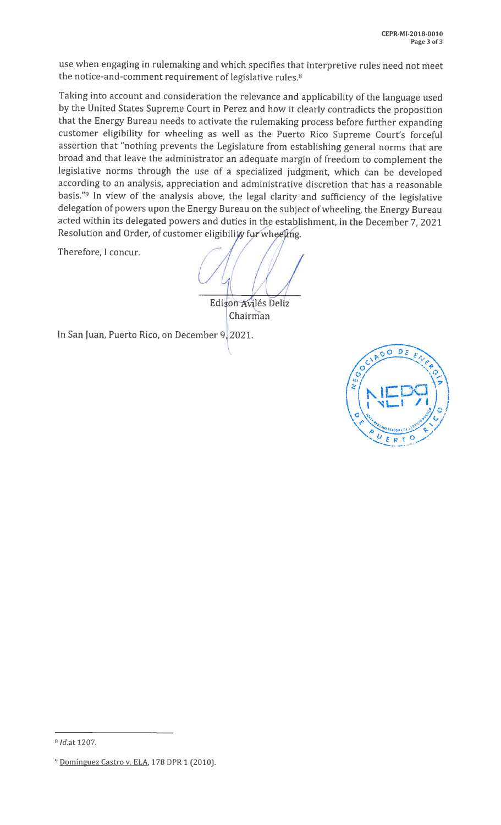use when engaging in rulemaking and which specifies that interpretive rules need not meet the notice-and-comment requirement of legislative rules.<sup>8</sup>

Taking into account and consideration the relevance and applicability of the language used by the United States Supreme Court in Perez and how it clearly contradicts the proposition that the Energy Bureau needs to activate the rulemaking process before further expanding customer eligibility for wheeling as well as the Puerto Rico Supreme Court's forceful assertion that "nothing prevents the Legislature from establishing general norms that are broad and that leave the administrator an adequate margin of freedom to complement the legislative norms through the use of <sup>a</sup> specialized judgment, which can be developed according to an analysis, appreciation and administrative discretion that has <sup>a</sup> reasonable basis."9 In view of the analysis above, the legal clarity and sufficiency of the legislative delegation of powers upon the Energy Bureau on the subject of wheeling, the Energy Bureau acted within its delegated powers and duties in the establishment, in the December 7, <sup>2021</sup> Resolution and Order, of customer eligibility for wheeling.

Therefore, I concur.

 $($   $/$   $/$   $/$   $/$   $/$  $\sqrt{1}$ 

Edison Avilés Deliz Chairman

In San Juan, Puerto Rico, on December 9, 2021.



<sup>8</sup> Id.at 1207.

<sup>&</sup>lt;sup>9</sup> Dominguez Castro v. ELA, 178 DPR 1 (2010).